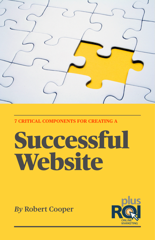

**7 CRITICAL COMPONENTS FOR CREATING A** 

# Successful **Website**

*By* **Robert Cooper**

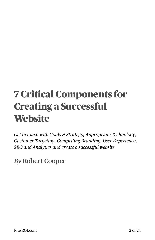## 7 Critical Components for Creating a Successful **Website**

*Get in touch with Goals & Strategy, Appropriate Technology, Customer Targeting, Compelling Branding, User Experience, SEO and Analytics and create a successful website.* 

*By* **Robert Cooper**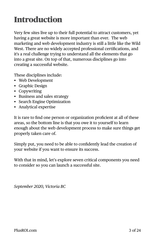## <span id="page-2-0"></span>**Introduction**

Very few sites live up to their full potential to attract customers, yet having a great website is more important than ever. The web marketing and web development industry is still a little like the Wild West. There are no widely accepted professional certifications, and it's a real challenge trying to understand all the elements that go into a great site. On top of that, numerous disciplines go into creating a successful website.

These disciplines include:

- Web Development
- Graphic Design
- Copywriting
- Business and sales strategy
- Search Engine Optimization
- Analytical expertise

It is rare to find one person or organization proficient at all of these areas, so the bottom line is that you owe it to yourself to learn enough about the web development process to make sure things get properly taken care of.

Simply put, you need to be able to confidently lead the creation of your website if you want to ensure its success.

With that in mind, let's explore seven critical components you need to consider so you can launch a successful site.

*September 2020, Victoria BC*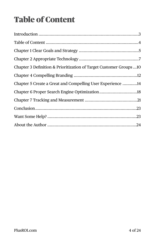## <span id="page-3-0"></span>Table of Content

| Chapter 3 Definition & Prioritization of Target Customer Groups10 |
|-------------------------------------------------------------------|
|                                                                   |
| Chapter 5 Create a Great and Compelling User Experience 14        |
|                                                                   |
|                                                                   |
|                                                                   |
|                                                                   |
|                                                                   |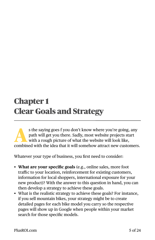### <span id="page-4-0"></span>Chapter 1 Clear Goals and Strategy

s the saying goes f you don't know where you're going, any path will get you there. Sadly, most website projects start with a rough picture of what the website will look like, path will get you there. Sadly, most website projects start combined with the idea that it will somehow attract new customers.

Whatever your type of business, you first need to consider:

- **What are your specific goals** (e.g., online sales, more foot traffic to your location, reinforcement for existing customers, information for local shoppers, international exposure for your new product)? With the answer to this question in hand, you can then develop a strategy to achieve these goals.
- What is the realistic strategy to achieve these goals? For instance, if you sell mountain bikes, your strategy might be to create detailed pages for each bike model you carry so the respective pages will show up in Google when people within your market search for those specific models.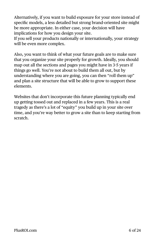Alternatively, if you want to build exposure for your store instead of specific models, a less detailed but strong brand-oriented site might be more appropriate. In either case, your decision will have implications for how you design your site.

If you sell your products nationally or internationally, your strategy will be even more complex.

Also, you want to think of what your future goals are to make sure that you organize your site properly for growth. Ideally, you should map out all the sections and pages you might have in 3-5 years if things go well. You're not about to build them all out, but by understanding where you are going, you can then "roll them up" and plan a site structure that will be able to grow to support these elements.

Websites that don't incorporate this future planning typically end up getting tossed out and replaced in a few years. This is a real tragedy as there's a lot of "equity" you build up in your site over time, and you're way better to grow a site than to keep starting from scratch.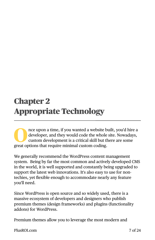## <span id="page-6-0"></span>Chapter 2 Appropriate Technology

The upon a time, if you wanted a website built, you'd hire a developer, and they would code the whole site. Nowadays, custom development is a critical skill but there are some space ortions that require minimal sustan aedi developer, and they would code the whole site. Nowadays, custom development is a critical skill but there are some great options that require minimal custom coding.

We generally recommend the WordPress content management system. Being by far the most common and actively developed CMS in the world, it is well supported and constantly being upgraded to support the latest web innovations. It's also easy to use for nontechies, yet flexible enough to accommodate nearly any feature you'll need.

Since WordPress is open source and so widely used, there is a massive ecosystem of developers and designers who publish premium themes (design frameworks) and plugins (functionality addons) for WordPress.

Premium themes allow you to leverage the most modern and

[PlusROI.com](http://PlusROI.com) 7 of 24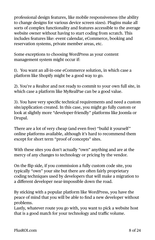professional design features, like mobile responsiveness (the ability to change designs for various device screen sizes). Plugins make all sorts of complex functionality and features accessible to the average website owner without having to start coding from scratch. This includes features like: event calendar, eCommerce, booking and reservation systems, private member areas, etc.

Some exceptions to choosing WordPress as your content management system might occur if:

1). You want an all-in-one eCommerce solution, in which case a platform like Shopify might be a good way to go.

2). You're a Realtor and not ready to commit to your own full site, in which case a platform like MyRealPae can be a good value.

3). You have very specific technical requirements and need a custom site/application created. In this case, you might go fully custom or look at slightly more "developer-friendly" platforms like Joomla or Drupal.

There are a lot of very cheap (and even free) "build it yourself" online platforms available, although it's hard to recommend them except for short term "proof of concepts" sites.

With these sites you don't actually "own" anything and are at the mercy of any changes to technology or pricing by the vendor.

On the flip side, if you commission a fully custom code site, you typically "own" your site but there are often fairly proprietary coding techniques used by developers that will make a migration to a different developer near-impossible down the road.

By sticking with a popular platform like WordPress, you have the peace of mind that you will be able to find a new developer without problems.

Lastly, whatever route you go with, you want to pick a website host that is a good match for your technology and traffic volume.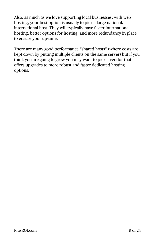Also, as much as we love supporting local businesses, with web hosting, your best option is usually to pick a large national/ international host. They will typically have faster international hosting, better options for hosting, and more redundancy in place to ensure your up-time.

There are many good performance "shared hosts" (where costs are kept down by putting multiple clients on the same server) but if you think you are going to grow you may want to pick a vendor that offers upgrades to more robust and faster dedicated hosting options.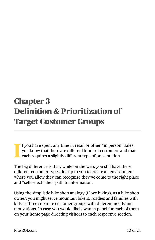## <span id="page-9-0"></span>Chapter 3 Definition & Prioritization of Target Customer Groups

**I** f you have spent any time in retail or other "in person" sales, you know that there are different kinds of customers and that each requires a slightly different type of presentation.

The big difference is that, while on the web, you still have these different customer types, it's up to you to create an environment where you allow they can recognize they've come to the right place and "self-select" their path to information.

Using the simplistic bike shop analogy (I love biking), as a bike shop owner, you might serve mountain bikers, roadies and families with kids as three separate customer groups with different needs and motivations. In case you would likely want a panel for each of them on your home page directing visitors to each respective section.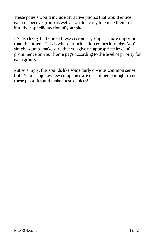These panels would include attractive photos that would entice each respective group as well as written copy to entice them to click into their specific section of your site.

It's also likely that one of these customer groups is more important than the others. This is where prioritization comes into play. You'll simply want to make sure that you give an appropriate level of prominence on your home page according to the level of priority for each group.

Put so simply, this sounds like some fairly obvious common sense, but it's amazing how few companies are disciplined enough to set these priorities and make these choices!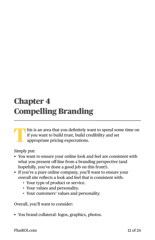## <span id="page-11-0"></span>Chapter 4 Compelling Branding

**T**his is an area that you definitely want to spend some time on if you want to build trust, build credibility and set appropriate pricing expectations.

Simply put:

- You want to ensure your online look and feel are consistent with what you present off-line from a branding perspective (and hopefully, you've done a good job on this front!).
- If you're a pure online company, you'll want to ensure your overall site reflects a look and feel that is consistent with:
	- Your type of product or service.
	- Your values and personality.
	- Your customers' values and personality.

Overall, you'll want to consider:

• You brand collateral: logos, graphics, photos.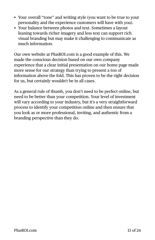- Your overall "tone" and writing style (you want to be true to your personality and the experience customers will have with you).
- Your balance between photos and text. Sometimes a layout leaning towards richer imagery and less text can support rich visual branding but may make it challenging to communicate as much information.

Our own website at PlusROI.com is a good example of this. We made the conscious decision based on our own company experience that a clear initial presentation on our home page made more sense for our strategy than trying to present a ton of information above the fold. This has proven to be the right decision for us, but certainly wouldn't be in all cases.

As a general rule of thumb, you don't need to be perfect online, but need to be better than your competition. Your level of investment will vary according to your industry, but it's a very straightforward process to identify your competition online and then ensure that you look as or more professional, inviting, and authentic from a branding perspective than they do.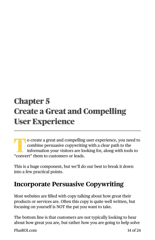## <span id="page-13-0"></span>Chapter 5 Create a Great and Compelling User Experience

**T**o create a great and compelling user experience, you need to combine persuasive copywriting with a clear path to the information your visitors are looking for, along with tools to "convert" them to customers or leads.

This is a huge component, but we'll do our best to break it down into a few practical points.

#### **Incorporate Persuasive Copywriting**

Most websites are filled with copy talking about how great their products or services are. Often this copy is quite well written, but focusing on yourself is NOT the pat you want to take.

The bottom line is that customers are not typically looking to hear about how great you are, but rather how you are going to help solve

[PlusROI.com](http://PlusROI.com) 14 of 24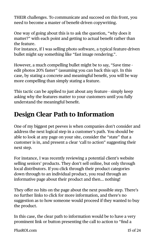THEIR challenges. To communicate and succeed on this front, you need to become a master of benefit-driven copywriting.

One way of going about this is to ask the question, "why does it matter?" with each point and getting to actual benefit rather than the feature.

For instance, if I was selling photo software, a typical feature-driven bullet might say something like "fast image rendering.".

However, a much compelling bullet might be to say, "Save time edit photos 20% faster" (assuming you can back this up). In this case, by stating a concrete and meaningful benefit, you will be way more compelling than simply stating a feature.

This tactic can be applied to just about any feature - simply keep asking why the features matter to your customers until you fully understand the meaningful benefit.

#### **Design Clear Path to Information**

One of my biggest pet peeves is when companies don't consider and address the next logical step in a customer's path. You should be able to look at any page on your site, consider the "state" that a customer is in, and present a clear 'call to action" suggesting their next step.

For instance, I was recently reviewing a potential client's website selling seniors' products. They don't sell online, but only through local distributors. If you click through their product categories down through to an individual product, you read through an informative page about their product and then… nothing!

They offer no hits on the page about the next possible step. There's no further links to click for more information, and there's no suggestion as to how someone would proceed if they wanted to buy the product.

In this case, the clear path to information would be to have a very prominent link or button presenting the call to action to "find a

[PlusROI.com](http://PlusROI.com) 15 of 24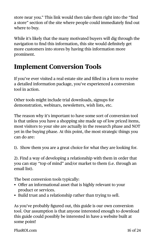store near you." This link would then take them right into the "find a store" section of the site where people could immediately find out where to buy.

While it's likely that the many motivated buyers will dig through the navigation to find this information, this site would definitely get more customers into stores by having this information more prominent.

#### **Implement Conversion Tools**

If you've ever visited a real estate site and filled in a form to receive a detailed information package, you've experienced a conversion tool in action.

Other tools might include trial downloads, signups for demonstration, webinars, newsletters, wish lists, etc.

The reason why it's important to have some sort of conversion tool is that unless you have a shopping site made up of low priced items, most visitors to your site are actually in the research phase and NOT yet in the buying phase. At this point, the most strategic things you can do are:

1). Show them you are a great choice for what they are looking for.

2). Find a way of developing a relationship with them in order that you can stay "top of mind" and/or market to them (i.e. through an email list).

The best conversion tools typically:

- Offer an informational asset that is highly relevant to your product or services.
- Build trust and a relationship rather than trying to sell.

As you've probably figured out, this guide is our own conversion tool. Our assumption is that anyone interested enough to download this guide could possibly be interested in have a website built at some point!

[PlusROI.com](http://PlusROI.com) 16 of 24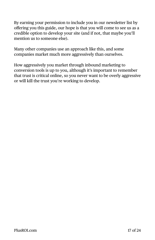By earning your permission to include you in our newsletter list by offering you this guide, our hope is that you will come to see us as a credible option to develop your site (and if not, that maybe you'll mention us to someone else).

Many other companies use an approach like this, and some companies market much more aggressively than ourselves.

How aggressively you market through inbound marketing to conversion tools is up to you, although it's important to remember that trust is critical online, so you never want to be overly aggressive or will kill the trust you're working to develop.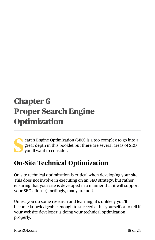## <span id="page-17-0"></span>Chapter 6 Proper Search Engine **Optimization**

**S**earch Engine Optimization (SEO) is a too complex to go into a great depth in this booklet but there are several areas of SEO you'll want to consider.

#### **On-Site Technical Optimization**

On-site technical optimization is critical when developing your site. This does not involve in executing on an SEO strategy, but rather ensuring that your site is developed in a manner that it will support your SEO efforts (startlingly, many are not).

Unless you do some research and learning, it's unlikely you'll become knowledgeable enough to succeed a this yourself or to tell if your website developer is doing your technical optimization properly.

[PlusROI.com](http://PlusROI.com) 18 of 24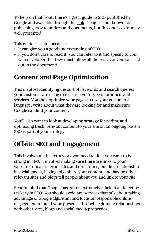To help on that front, there's a great guide to SEO published by Google and available through this [link](https://static.googleusercontent.com/media/www.google.com/en/us/webmasters/docs/search-engine-optimization-starter-guide.pdf). Google is not known for publishing easy to understand documents, but this one is extremely well presented.

This guide is useful because:

- It can give you a good understanding of SEO.
- If you don't care to read it, you can refer to it and specify to your web developer that they must follow all the basic conventions laid out in the document!

#### **Content and Page Optimization**

This involves identifying the sort of keywords and search queries your customer are using to research your type of products and services. You then optimize your pages to use your customers' language, write about what they are looking for and make sure Google can find your content.

You'll also want to look at developing strategy for adding and optimizing fresh, relevant content to your site on an ongoing basis if SEO is part of your strategy.

#### **Offsite SEO and Engagement**

This involves all the extra work you need to do if you want to be strong in SEO. It involves making sure there are links to your website from all relevant sites and directories, building relationship in social media, having folks share your content, and having other relevant sites and blogs tell people about you and link to your site.

Bear in mind that Google has gotten extremely efficient at detecting trickery in SEO. You should avoid any services that talk about taking advantage of Google algorithm and focus on responsible online engagement to build your presence through legitimate relationships with other sites, blogs and social media properties.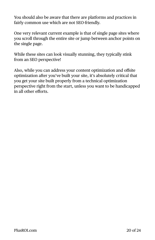You should also be aware that there are platforms and practices in fairly common use which are not SEO-friendly.

One very relevant current example is that of single page sites where you scroll through the entire site or jump between anchor points on the single page.

While these sites can look visually stunning, they typically stink from an SEO perspective!

Also, while you can address your content optimization and offsite optimization after you've built your site, it's absolutely critical that you get your site built properly from a technical optimization perspective right from the start, unless you want to be handicapped in all other efforts.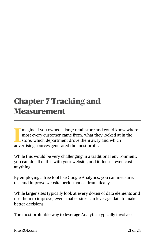## <span id="page-20-0"></span>Chapter 7 Tracking and Measurement

Illet magine if you owned a large retail store are most every customer came from, what the store, which department drove them away advertising sources generated the most profit. magine if you owned a large retail store and could know where most every customer came from, what they looked at in the store, which department drove them away and which

While this would be very challenging in a traditional environment, you can do all of this with your website, and it doesn't even cost anything.

By employing a free tool like Google Analytics, you can measure, test and improve website performance dramatically.

While larger sites typically look at every dozen of data elements and use them to improve, even smaller sites can leverage data to make better decisions.

The most profitable way to leverage Analytics typically involves:

[PlusROI.com](http://PlusROI.com) 21 of 24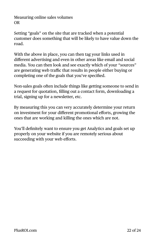Measuring online sales volumes OR

Setting "goals" on the site that are tracked when a potential customer does something that will be likely to have value down the road.

With the above in place, you can then tag your links used in different advertising and even in other areas like email and social media. You can then look and see exactly which of your "sources" are generating web traffic that results in people either buying or completing one of the goals that you've specified.

Non-sales goals often include things like getting someone to send in a request for quotation, filling out a contact form, downloading a trial, signing up for a newsletter, etc.

By measuring this you can very accurately determine your return on investment for your different promotional efforts, growing the ones that are working and killing the ones which are not.

You'll definitely want to ensure you get Analytics and goals set up properly on your website if you are remotely serious about succeeding with your web efforts.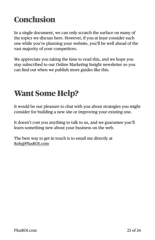## <span id="page-22-0"></span>**Conclusion**

In a single document, we can only scratch the surface on many of the topics we discuss here. However, if you at least consider each one while you're planning your website, you'll be well ahead of the vast majority of your competitors.

We appreciate you taking the time to read this, and we hope you stay subscribed to our Online Marketing Insight newsletter so you can find out when we publish more guides like this.

## <span id="page-22-1"></span>Want Some Help?

It would be our pleasure to chat with you about strategies you might consider for building a new site or improving your existing one.

It doesn't cost you anything to talk to us, and we guarantee you'll learn something new about your business on the web.

The best way to get in touch is to email me directly at [Rob@PlusROI.com](mailto:rob@PlusROI.com)